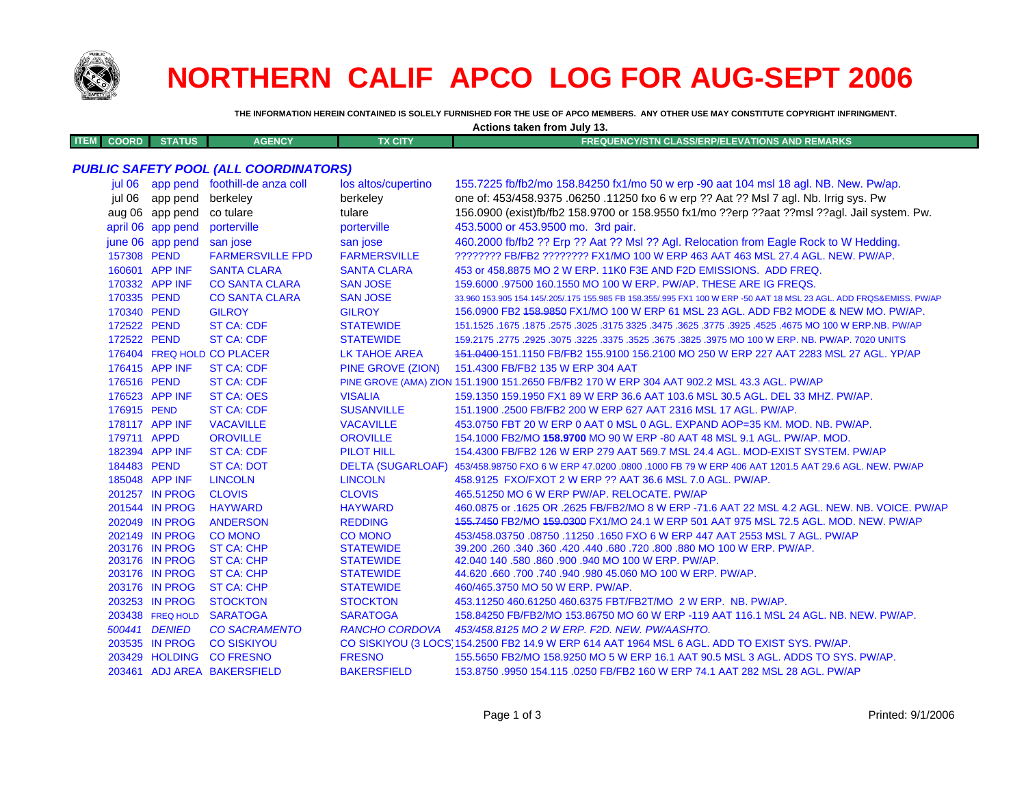

## **NORTHERN CALIF APCO LOG FOR AUG-SEPT 2006**

THE INFORMATION HEREIN CONTAINED IS SOLELY FURNISHED FOR THE USE OF APCO MEMBERS. ANY OTHER USE MAY CONSTITUTE COPYRIGHT INFRINGMENT.

| Actions taken from July 13. |                   |                                              |                          |                                                                                                                     |  |
|-----------------------------|-------------------|----------------------------------------------|--------------------------|---------------------------------------------------------------------------------------------------------------------|--|
| <b>ITEM</b><br><b>COORD</b> | <b>STATUS</b>     | <b>AGENCY</b>                                | <b>TX CITY</b>           | <b>FREQUENCY/STN CLASS/ERP/ELEVATIONS AND REMARKS</b>                                                               |  |
|                             |                   |                                              |                          |                                                                                                                     |  |
|                             |                   | <b>PUBLIC SAFETY POOL (ALL COORDINATORS)</b> |                          |                                                                                                                     |  |
|                             |                   | jul 06 app pend foothill-de anza coll        | los altos/cupertino      | 155.7225 fb/fb2/mo 158.84250 fx1/mo 50 w erp -90 aat 104 msl 18 agl. NB. New. Pw/ap.                                |  |
| iul 06                      | app pend          | berkeley                                     | berkeley                 | one of: 453/458.9375 .06250 .11250 fxo 6 w erp ?? Aat ?? Msl 7 agl. Nb. Irrig sys. Pw                               |  |
|                             | aug 06 app pend   | co tulare                                    | tulare                   | 156.0900 (exist)fb/fb2 158.9700 or 158.9550 fx1/mo ??erp ??aat ??msl ??agl. Jail system. Pw.                        |  |
|                             | april 06 app pend | porterville                                  | porterville              | 453.5000 or 453.9500 mo. 3rd pair.                                                                                  |  |
|                             | june 06 app pend  | san jose                                     | san jose                 | 460.2000 fb/fb2 ?? Erp ?? Aat ?? MsI ?? Agl. Relocation from Eagle Rock to W Hedding.                               |  |
| 157308 PEND                 |                   | <b>FARMERSVILLE FPD</b>                      | <b>FARMERSVILLE</b>      | ???????? FB/FB2 ???????? FX1/MO 100 W ERP 463 AAT 463 MSL 27.4 AGL. NEW. PW/AP.                                     |  |
|                             | 160601 APP INF    | <b>SANTA CLARA</b>                           | <b>SANTA CLARA</b>       | 453 or 458.8875 MO 2 W ERP. 11K0 F3E AND F2D EMISSIONS. ADD FREQ.                                                   |  |
|                             | 170332 APP INF    | <b>CO SANTA CLARA</b>                        | <b>SAN JOSE</b>          | 159,6000 .97500 160.1550 MO 100 W ERP. PW/AP. THESE ARE IG FREQS.                                                   |  |
| 170335 PEND                 |                   | <b>CO SANTA CLARA</b>                        | <b>SAN JOSE</b>          | 33.960 153.905 154.145/.205/.175 155.985 FB 158.355/.995 FX1 100 W ERP -50 AAT 18 MSL 23 AGL. ADD FRQS&EMISS. PW/AP |  |
| 170340 PEND                 |                   | <b>GILROY</b>                                | <b>GILROY</b>            | 156.0900 FB2 458.9850 FX1/MO 100 W ERP 61 MSL 23 AGL. ADD FB2 MODE & NEW MO. PW/AP.                                 |  |
| 172522 PEND                 |                   | <b>ST CA: CDF</b>                            | <b>STATEWIDE</b>         | 151.1525 .1675 .1875 .2575 .3025 .3175 3325 .3475 .3625 .3775 .3925 .4525 .4675 MO 100 W ERP NB. PW/AP              |  |
| 172522 PEND                 |                   | <b>ST CA: CDF</b>                            | <b>STATEWIDE</b>         | 159.2175 .2775 .2925 .3075 .3225 .3375 .3525 .3675 .3825 .3975 MO 100 W ERP. NB. PW/AP. 7020 UNITS                  |  |
|                             |                   | 176404 FREQ HOLD CO PLACER                   | <b>LK TAHOE AREA</b>     | 151.0400-151.1150 FB/FB2 155.9100 156.2100 MO 250 W ERP 227 AAT 2283 MSL 27 AGL. YP/AP                              |  |
|                             | 176415 APP INF    | <b>ST CA: CDF</b>                            | <b>PINE GROVE (ZION)</b> | 151.4300 FB/FB2 135 W ERP 304 AAT                                                                                   |  |
| 176516 PEND                 |                   | <b>ST CA: CDF</b>                            |                          | PINE GROVE (AMA) ZION 151.1900 151.2650 FB/FB2 170 W ERP 304 AAT 902.2 MSL 43.3 AGL. PW/AP                          |  |
|                             | 176523 APP INF    | <b>ST CA: OES</b>                            | <b>VISALIA</b>           | 159.1350 159.1950 FX1 89 W ERP 36.6 AAT 103.6 MSL 30.5 AGL. DEL 33 MHZ. PW/AP.                                      |  |
| 176915 PEND                 |                   | <b>ST CA: CDF</b>                            | <b>SUSANVILLE</b>        | 151.1900 .2500 FB/FB2 200 W ERP 627 AAT 2316 MSL 17 AGL. PW/AP.                                                     |  |
|                             | 178117 APP INF    | <b>VACAVILLE</b>                             | <b>VACAVILLE</b>         | 453.0750 FBT 20 W ERP 0 AAT 0 MSL 0 AGL. EXPAND AOP=35 KM. MOD. NB. PW/AP.                                          |  |
| 179711 APPD                 |                   | <b>OROVILLE</b>                              | <b>OROVILLE</b>          | 154.1000 FB2/MO 158.9700 MO 90 W ERP -80 AAT 48 MSL 9.1 AGL. PW/AP. MOD.                                            |  |
|                             | 182394 APP INF    | <b>ST CA: CDF</b>                            | <b>PILOT HILL</b>        | 154,4300 FB/FB2 126 W ERP 279 AAT 569.7 MSL 24.4 AGL, MOD-EXIST SYSTEM, PW/AP                                       |  |
| 184483 PEND                 |                   | <b>ST CA: DOT</b>                            | <b>DELTA (SUGARLOAF)</b> | 453/458.98750 FXO 6 W ERP 47.0200 .0800 .1000 FB 79 W ERP 406 AAT 1201.5 AAT 29.6 AGL. NEW. PW/AP                   |  |
|                             | 185048 APP INF    | <b>LINCOLN</b>                               | <b>LINCOLN</b>           | 458.9125 FXO/FXOT 2 W ERP ?? AAT 36.6 MSL 7.0 AGL. PW/AP.                                                           |  |
|                             | 201257 IN PROG    | <b>CLOVIS</b>                                | <b>CLOVIS</b>            | 465.51250 MO 6 W ERP PW/AP. RELOCATE. PW/AP                                                                         |  |
|                             | 201544 IN PROG    | <b>HAYWARD</b>                               | <b>HAYWARD</b>           | 460.0875 or .1625 OR .2625 FB/FB2/MO 8 W ERP -71.6 AAT 22 MSL 4.2 AGL, NEW, NB, VOICE, PW/AP                        |  |
|                             | 202049 IN PROG    | <b>ANDERSON</b>                              | <b>REDDING</b>           | 455.7450 FB2/MO 459.0300 FX1/MO 24.1 W ERP 501 AAT 975 MSL 72.5 AGL. MOD. NEW. PW/AP                                |  |
|                             | 202149 IN PROG    | <b>CO MONO</b>                               | <b>CO MONO</b>           | 453/458.03750.08750.11250.1650 FXO 6 W ERP 447 AAT 2553 MSL 7 AGL. PW/AP                                            |  |
|                             | 203176 IN PROG    | <b>ST CA: CHP</b>                            | <b>STATEWIDE</b>         | 39.200 .260 .340 .360 .420 .440 .680 .720 .800 .880 MO 100 W ERP. PW/AP.                                            |  |
|                             | 203176 IN PROG    | <b>ST CA: CHP</b>                            | <b>STATEWIDE</b>         | 42.040 140 .580 .860 .900 .940 MO 100 W ERP. PW/AP.                                                                 |  |
|                             | 203176 IN PROG    | <b>ST CA: CHP</b>                            | <b>STATEWIDE</b>         | 44.620 .660 .700 .740 .940 .980 45.060 MO 100 W ERP. PW/AP.                                                         |  |
|                             | 203176 IN PROG    | <b>ST CA: CHP</b>                            | <b>STATEWIDE</b>         | 460/465.3750 MO 50 W ERP. PW/AP.                                                                                    |  |
|                             | 203253 IN PROG    | <b>STOCKTON</b>                              | <b>STOCKTON</b>          | 453.11250 460.61250 460.6375 FBT/FB2T/MO 2 W ERP. NB. PW/AP.                                                        |  |
|                             | 203438 FREQ HOLD  | <b>SARATOGA</b>                              | <b>SARATOGA</b>          | 158.84250 FB/FB2/MO 153.86750 MO 60 W ERP -119 AAT 116.1 MSL 24 AGL, NB, NEW, PW/AP,                                |  |
|                             | 500441 DENIED     | <b>CO SACRAMENTO</b>                         | <b>RANCHO CORDOVA</b>    | 453/458.8125 MO 2 W ERP. F2D. NEW. PW/AASHTO.                                                                       |  |
|                             | 203535 IN PROG    | <b>CO SISKIYOU</b>                           |                          | CO SISKIYOU (3 LOCS) 154.2500 FB2 14.9 W ERP 614 AAT 1964 MSL 6 AGL. ADD TO EXIST SYS. PW/AP.                       |  |

203461 ADJ AREA BAKERSFIELD **BAKERSFIELD** 153,8750,9950,154,115,0250 FB/FB2 160 W ERP 74.1 AAT 282 MSL 28 AGL, PW/AP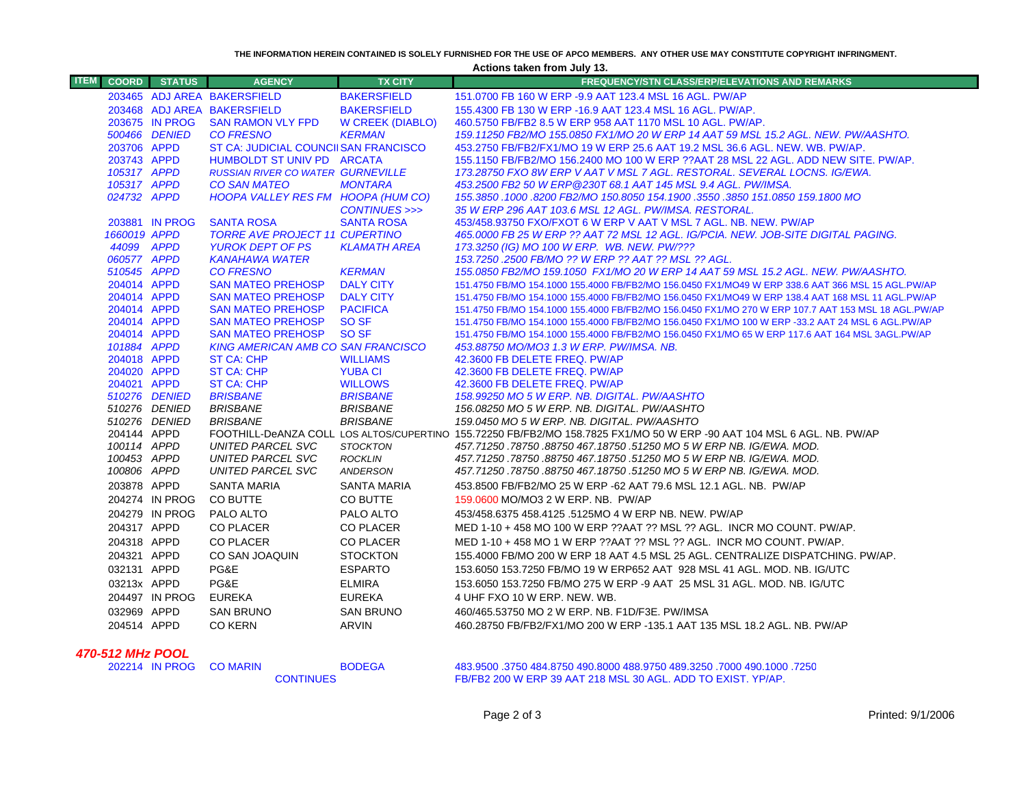**THE INFORMATION HEREIN CONTAINED IS SOLELY FURNISHED FOR THE USE OF APCO MEMBERS. ANY OTHER USE MAY CONSTITUTE COPYRIGHT INFRINGMENT.**

**Actions taken from July 13.**

| 203465 ADJ AREA BAKERSFIELD<br><b>BAKERSFIELD</b><br>151,0700 FB 160 W ERP -9.9 AAT 123.4 MSL 16 AGL, PW/AP<br><b>BAKERSFIELD</b><br>203468 ADJ AREA BAKERSFIELD<br>155,4300 FB 130 W ERP -16.9 AAT 123.4 MSL 16 AGL, PW/AP.<br>203675 IN PROG<br><b>SAN RAMON VLY FPD</b><br><b>W CREEK (DIABLO)</b><br>460.5750 FB/FB2 8.5 W ERP 958 AAT 1170 MSL 10 AGL. PW/AP.<br>500466 DENIED<br><b>CO FRESNO</b><br><b>KERMAN</b><br>159.11250 FB2/MO 155.0850 FX1/MO 20 W ERP 14 AAT 59 MSL 15.2 AGL, NEW, PW/AASHTO,<br>203706 APPD<br>ST CA: JUDICIAL COUNCIISAN FRANCISCO<br>453.2750 FB/FB2/FX1/MO 19 W ERP 25.6 AAT 19.2 MSL 36.6 AGL. NEW. WB. PW/AP.<br>203743 APPD<br>HUMBOLDT ST UNIV PD ARCATA<br>155.1150 FB/FB2/MO 156.2400 MO 100 W ERP ??AAT 28 MSL 22 AGL. ADD NEW SITE. PW/AP.<br>105317 APPD<br><b>RUSSIAN RIVER CO WATER GURNEVILLE</b><br>173.28750 FXO 8W ERP V AAT V MSL 7 AGL. RESTORAL. SEVERAL LOCNS. IG/EWA.<br>105317 APPD<br><b>MONTARA</b><br>453.2500 FB2 50 W ERP @230T 68.1 AAT 145 MSL 9.4 AGL. PW/IMSA.<br><b>CO SAN MATEO</b><br>024732 APPD<br>HOOPA VALLEY RES FM HOOPA (HUM CO)<br>155.3850 .1000 .8200 FB2/MO 150.8050 154.1900 .3550 .3850 151.0850 159.1800 MO<br>CONTINUES >>><br>35 W ERP 296 AAT 103.6 MSL 12 AGL. PW/IMSA. RESTORAL.<br><b>SANTA ROSA</b><br>203881 IN PROG<br><b>SANTA ROSA</b><br>453/458.93750 FXO/FXOT 6 W ERP V AAT V MSL 7 AGL. NB. NEW. PW/AP<br>1660019 APPD<br><b>TORRE AVE PROJECT 11 CUPERTINO</b><br>465.0000 FB 25 W ERP ?? AAT 72 MSL 12 AGL. IG/PCIA. NEW. JOB-SITE DIGITAL PAGING.<br>44099 APPD<br>173.3250 (IG) MO 100 W ERP. WB. NEW. PW/???<br><b>YUROK DEPT OF PS</b><br><b>KLAMATH AREA</b><br>060577 APPD<br>153.7250 .2500 FB/MO ?? W ERP ?? AAT ?? MSL ?? AGL.<br><b>KANAHAWA WATER</b><br><b>KERMAN</b><br>510545 APPD<br><b>CO FRESNO</b><br>155.0850 FB2/MO 159.1050 FX1/MO 20 W ERP 14 AAT 59 MSL 15.2 AGL. NEW. PW/AASHTO.<br>204014 APPD<br><b>SAN MATEO PREHOSP</b><br><b>DALY CITY</b><br>151.4750 FB/MO 154.1000 155.4000 FB/FB2/MO 156.0450 FX1/MO49 W ERP 338.6 AAT 366 MSL 15 AGL.PW/AP<br>204014 APPD<br><b>SAN MATEO PREHOSP</b><br><b>DALY CITY</b><br>151.4750 FB/MO 154.1000 155.4000 FB/FB2/MO 156.0450 FX1/MO49 W ERP 138.4 AAT 168 MSL 11 AGL.PW/AP<br>204014 APPD<br><b>SAN MATEO PREHOSP</b><br><b>PACIFICA</b><br>151.4750 FB/MO 154.1000 155.4000 FB/FB2/MO 156.0450 FX1/MO 270 W ERP 107.7 AAT 153 MSL 18 AGL.PW/AP | <b>ITEM</b> | <b>COORD STATUS</b> | <b>AGENCY</b> | <b>TX CITY</b> | FREQUENCY/STN CLASS/ERP/ELEVATIONS AND REMARKS |
|---------------------------------------------------------------------------------------------------------------------------------------------------------------------------------------------------------------------------------------------------------------------------------------------------------------------------------------------------------------------------------------------------------------------------------------------------------------------------------------------------------------------------------------------------------------------------------------------------------------------------------------------------------------------------------------------------------------------------------------------------------------------------------------------------------------------------------------------------------------------------------------------------------------------------------------------------------------------------------------------------------------------------------------------------------------------------------------------------------------------------------------------------------------------------------------------------------------------------------------------------------------------------------------------------------------------------------------------------------------------------------------------------------------------------------------------------------------------------------------------------------------------------------------------------------------------------------------------------------------------------------------------------------------------------------------------------------------------------------------------------------------------------------------------------------------------------------------------------------------------------------------------------------------------------------------------------------------------------------------------------------------------------------------------------------------------------------------------------------------------------------------------------------------------------------------------------------------------------------------------------------------------------------------------------------------------------------------------------------------------------------------------------------------------------|-------------|---------------------|---------------|----------------|------------------------------------------------|
|                                                                                                                                                                                                                                                                                                                                                                                                                                                                                                                                                                                                                                                                                                                                                                                                                                                                                                                                                                                                                                                                                                                                                                                                                                                                                                                                                                                                                                                                                                                                                                                                                                                                                                                                                                                                                                                                                                                                                                                                                                                                                                                                                                                                                                                                                                                                                                                                                           |             |                     |               |                |                                                |
|                                                                                                                                                                                                                                                                                                                                                                                                                                                                                                                                                                                                                                                                                                                                                                                                                                                                                                                                                                                                                                                                                                                                                                                                                                                                                                                                                                                                                                                                                                                                                                                                                                                                                                                                                                                                                                                                                                                                                                                                                                                                                                                                                                                                                                                                                                                                                                                                                           |             |                     |               |                |                                                |
|                                                                                                                                                                                                                                                                                                                                                                                                                                                                                                                                                                                                                                                                                                                                                                                                                                                                                                                                                                                                                                                                                                                                                                                                                                                                                                                                                                                                                                                                                                                                                                                                                                                                                                                                                                                                                                                                                                                                                                                                                                                                                                                                                                                                                                                                                                                                                                                                                           |             |                     |               |                |                                                |
|                                                                                                                                                                                                                                                                                                                                                                                                                                                                                                                                                                                                                                                                                                                                                                                                                                                                                                                                                                                                                                                                                                                                                                                                                                                                                                                                                                                                                                                                                                                                                                                                                                                                                                                                                                                                                                                                                                                                                                                                                                                                                                                                                                                                                                                                                                                                                                                                                           |             |                     |               |                |                                                |
|                                                                                                                                                                                                                                                                                                                                                                                                                                                                                                                                                                                                                                                                                                                                                                                                                                                                                                                                                                                                                                                                                                                                                                                                                                                                                                                                                                                                                                                                                                                                                                                                                                                                                                                                                                                                                                                                                                                                                                                                                                                                                                                                                                                                                                                                                                                                                                                                                           |             |                     |               |                |                                                |
|                                                                                                                                                                                                                                                                                                                                                                                                                                                                                                                                                                                                                                                                                                                                                                                                                                                                                                                                                                                                                                                                                                                                                                                                                                                                                                                                                                                                                                                                                                                                                                                                                                                                                                                                                                                                                                                                                                                                                                                                                                                                                                                                                                                                                                                                                                                                                                                                                           |             |                     |               |                |                                                |
|                                                                                                                                                                                                                                                                                                                                                                                                                                                                                                                                                                                                                                                                                                                                                                                                                                                                                                                                                                                                                                                                                                                                                                                                                                                                                                                                                                                                                                                                                                                                                                                                                                                                                                                                                                                                                                                                                                                                                                                                                                                                                                                                                                                                                                                                                                                                                                                                                           |             |                     |               |                |                                                |
|                                                                                                                                                                                                                                                                                                                                                                                                                                                                                                                                                                                                                                                                                                                                                                                                                                                                                                                                                                                                                                                                                                                                                                                                                                                                                                                                                                                                                                                                                                                                                                                                                                                                                                                                                                                                                                                                                                                                                                                                                                                                                                                                                                                                                                                                                                                                                                                                                           |             |                     |               |                |                                                |
|                                                                                                                                                                                                                                                                                                                                                                                                                                                                                                                                                                                                                                                                                                                                                                                                                                                                                                                                                                                                                                                                                                                                                                                                                                                                                                                                                                                                                                                                                                                                                                                                                                                                                                                                                                                                                                                                                                                                                                                                                                                                                                                                                                                                                                                                                                                                                                                                                           |             |                     |               |                |                                                |
|                                                                                                                                                                                                                                                                                                                                                                                                                                                                                                                                                                                                                                                                                                                                                                                                                                                                                                                                                                                                                                                                                                                                                                                                                                                                                                                                                                                                                                                                                                                                                                                                                                                                                                                                                                                                                                                                                                                                                                                                                                                                                                                                                                                                                                                                                                                                                                                                                           |             |                     |               |                |                                                |
|                                                                                                                                                                                                                                                                                                                                                                                                                                                                                                                                                                                                                                                                                                                                                                                                                                                                                                                                                                                                                                                                                                                                                                                                                                                                                                                                                                                                                                                                                                                                                                                                                                                                                                                                                                                                                                                                                                                                                                                                                                                                                                                                                                                                                                                                                                                                                                                                                           |             |                     |               |                |                                                |
|                                                                                                                                                                                                                                                                                                                                                                                                                                                                                                                                                                                                                                                                                                                                                                                                                                                                                                                                                                                                                                                                                                                                                                                                                                                                                                                                                                                                                                                                                                                                                                                                                                                                                                                                                                                                                                                                                                                                                                                                                                                                                                                                                                                                                                                                                                                                                                                                                           |             |                     |               |                |                                                |
|                                                                                                                                                                                                                                                                                                                                                                                                                                                                                                                                                                                                                                                                                                                                                                                                                                                                                                                                                                                                                                                                                                                                                                                                                                                                                                                                                                                                                                                                                                                                                                                                                                                                                                                                                                                                                                                                                                                                                                                                                                                                                                                                                                                                                                                                                                                                                                                                                           |             |                     |               |                |                                                |
|                                                                                                                                                                                                                                                                                                                                                                                                                                                                                                                                                                                                                                                                                                                                                                                                                                                                                                                                                                                                                                                                                                                                                                                                                                                                                                                                                                                                                                                                                                                                                                                                                                                                                                                                                                                                                                                                                                                                                                                                                                                                                                                                                                                                                                                                                                                                                                                                                           |             |                     |               |                |                                                |
|                                                                                                                                                                                                                                                                                                                                                                                                                                                                                                                                                                                                                                                                                                                                                                                                                                                                                                                                                                                                                                                                                                                                                                                                                                                                                                                                                                                                                                                                                                                                                                                                                                                                                                                                                                                                                                                                                                                                                                                                                                                                                                                                                                                                                                                                                                                                                                                                                           |             |                     |               |                |                                                |
|                                                                                                                                                                                                                                                                                                                                                                                                                                                                                                                                                                                                                                                                                                                                                                                                                                                                                                                                                                                                                                                                                                                                                                                                                                                                                                                                                                                                                                                                                                                                                                                                                                                                                                                                                                                                                                                                                                                                                                                                                                                                                                                                                                                                                                                                                                                                                                                                                           |             |                     |               |                |                                                |
|                                                                                                                                                                                                                                                                                                                                                                                                                                                                                                                                                                                                                                                                                                                                                                                                                                                                                                                                                                                                                                                                                                                                                                                                                                                                                                                                                                                                                                                                                                                                                                                                                                                                                                                                                                                                                                                                                                                                                                                                                                                                                                                                                                                                                                                                                                                                                                                                                           |             |                     |               |                |                                                |
| 204014 APPD<br><b>SAN MATEO PREHOSP</b><br>SO SF                                                                                                                                                                                                                                                                                                                                                                                                                                                                                                                                                                                                                                                                                                                                                                                                                                                                                                                                                                                                                                                                                                                                                                                                                                                                                                                                                                                                                                                                                                                                                                                                                                                                                                                                                                                                                                                                                                                                                                                                                                                                                                                                                                                                                                                                                                                                                                          |             |                     |               |                |                                                |
| 151.4750 FB/MO 154.1000 155.4000 FB/FB2/MO 156.0450 FX1/MO 100 W ERP -33.2 AAT 24 MSL 6 AGL.PW/AP<br>204014 APPD<br>SO SF<br><b>SAN MATEO PREHOSP</b><br>151.4750 FB/MO 154.1000 155.4000 FB/FB2/MO 156.0450 FX1/MO 65 W ERP 117.6 AAT 164 MSL 3AGL.PW/AP                                                                                                                                                                                                                                                                                                                                                                                                                                                                                                                                                                                                                                                                                                                                                                                                                                                                                                                                                                                                                                                                                                                                                                                                                                                                                                                                                                                                                                                                                                                                                                                                                                                                                                                                                                                                                                                                                                                                                                                                                                                                                                                                                                 |             |                     |               |                |                                                |
| 101884 APPD<br><b>KING AMERICAN AMB CO SAN FRANCISCO</b><br>453.88750 MO/MO3 1.3 W ERP. PW/IMSA. NB.                                                                                                                                                                                                                                                                                                                                                                                                                                                                                                                                                                                                                                                                                                                                                                                                                                                                                                                                                                                                                                                                                                                                                                                                                                                                                                                                                                                                                                                                                                                                                                                                                                                                                                                                                                                                                                                                                                                                                                                                                                                                                                                                                                                                                                                                                                                      |             |                     |               |                |                                                |
| 204018 APPD<br><b>ST CA: CHP</b><br><b>WILLIAMS</b><br>42.3600 FB DELETE FREQ. PW/AP                                                                                                                                                                                                                                                                                                                                                                                                                                                                                                                                                                                                                                                                                                                                                                                                                                                                                                                                                                                                                                                                                                                                                                                                                                                                                                                                                                                                                                                                                                                                                                                                                                                                                                                                                                                                                                                                                                                                                                                                                                                                                                                                                                                                                                                                                                                                      |             |                     |               |                |                                                |
| 204020 APPD<br><b>ST CA: CHP</b><br><b>YUBA CI</b><br>42.3600 FB DELETE FREQ. PW/AP                                                                                                                                                                                                                                                                                                                                                                                                                                                                                                                                                                                                                                                                                                                                                                                                                                                                                                                                                                                                                                                                                                                                                                                                                                                                                                                                                                                                                                                                                                                                                                                                                                                                                                                                                                                                                                                                                                                                                                                                                                                                                                                                                                                                                                                                                                                                       |             |                     |               |                |                                                |
| 204021 APPD<br>ST CA: CHP<br><b>WILLOWS</b><br>42.3600 FB DELETE FREQ. PW/AP                                                                                                                                                                                                                                                                                                                                                                                                                                                                                                                                                                                                                                                                                                                                                                                                                                                                                                                                                                                                                                                                                                                                                                                                                                                                                                                                                                                                                                                                                                                                                                                                                                                                                                                                                                                                                                                                                                                                                                                                                                                                                                                                                                                                                                                                                                                                              |             |                     |               |                |                                                |
| <b>BRISBANE</b><br>510276 DENIED<br><b>BRISBANE</b><br>158.99250 MO 5 W ERP. NB. DIGITAL. PW/AASHTO                                                                                                                                                                                                                                                                                                                                                                                                                                                                                                                                                                                                                                                                                                                                                                                                                                                                                                                                                                                                                                                                                                                                                                                                                                                                                                                                                                                                                                                                                                                                                                                                                                                                                                                                                                                                                                                                                                                                                                                                                                                                                                                                                                                                                                                                                                                       |             |                     |               |                |                                                |
| 510276 DENIED<br><b>BRISBANE</b><br>156.08250 MO 5 W ERP. NB. DIGITAL. PW/AASHTO<br><b>BRISBANE</b>                                                                                                                                                                                                                                                                                                                                                                                                                                                                                                                                                                                                                                                                                                                                                                                                                                                                                                                                                                                                                                                                                                                                                                                                                                                                                                                                                                                                                                                                                                                                                                                                                                                                                                                                                                                                                                                                                                                                                                                                                                                                                                                                                                                                                                                                                                                       |             |                     |               |                |                                                |
| 510276 DENIED<br><b>BRISBANE</b><br><b>BRISBANE</b><br>159.0450 MO 5 W ERP. NB. DIGITAL. PW/AASHTO                                                                                                                                                                                                                                                                                                                                                                                                                                                                                                                                                                                                                                                                                                                                                                                                                                                                                                                                                                                                                                                                                                                                                                                                                                                                                                                                                                                                                                                                                                                                                                                                                                                                                                                                                                                                                                                                                                                                                                                                                                                                                                                                                                                                                                                                                                                        |             |                     |               |                |                                                |
| 204144 APPD<br>FOOTHILL-DeANZA COLL LOS ALTOS/CUPERTINO 155.72250 FB/FB2/MO 158.7825 FX1/MO 50 W ERP -90 AAT 104 MSL 6 AGL. NB. PW/AP                                                                                                                                                                                                                                                                                                                                                                                                                                                                                                                                                                                                                                                                                                                                                                                                                                                                                                                                                                                                                                                                                                                                                                                                                                                                                                                                                                                                                                                                                                                                                                                                                                                                                                                                                                                                                                                                                                                                                                                                                                                                                                                                                                                                                                                                                     |             |                     |               |                |                                                |
| 100114 APPD<br>UNITED PARCEL SVC<br><b>STOCKTON</b><br>457.71250.78750.88750.467.18750.51250 MO 5 W ERP NB. IG/EWA. MOD.                                                                                                                                                                                                                                                                                                                                                                                                                                                                                                                                                                                                                                                                                                                                                                                                                                                                                                                                                                                                                                                                                                                                                                                                                                                                                                                                                                                                                                                                                                                                                                                                                                                                                                                                                                                                                                                                                                                                                                                                                                                                                                                                                                                                                                                                                                  |             |                     |               |                |                                                |
| 100453 APPD<br><b>UNITED PARCEL SVC</b><br>457.71250.78750.88750.467.18750.51250 MO 5 W ERP NB. IG/EWA. MOD.<br><b>ROCKLIN</b>                                                                                                                                                                                                                                                                                                                                                                                                                                                                                                                                                                                                                                                                                                                                                                                                                                                                                                                                                                                                                                                                                                                                                                                                                                                                                                                                                                                                                                                                                                                                                                                                                                                                                                                                                                                                                                                                                                                                                                                                                                                                                                                                                                                                                                                                                            |             |                     |               |                |                                                |
| 100806 APPD<br>UNITED PARCEL SVC<br>457.71250 .78750 .88750 467.18750 .51250 MO 5 W ERP NB. IG/EWA. MOD.<br><b>ANDERSON</b>                                                                                                                                                                                                                                                                                                                                                                                                                                                                                                                                                                                                                                                                                                                                                                                                                                                                                                                                                                                                                                                                                                                                                                                                                                                                                                                                                                                                                                                                                                                                                                                                                                                                                                                                                                                                                                                                                                                                                                                                                                                                                                                                                                                                                                                                                               |             |                     |               |                |                                                |
| 203878 APPD<br><b>SANTA MARIA</b><br>453.8500 FB/FB2/MO 25 W ERP -62 AAT 79.6 MSL 12.1 AGL. NB. PW/AP<br>SANTA MARIA                                                                                                                                                                                                                                                                                                                                                                                                                                                                                                                                                                                                                                                                                                                                                                                                                                                                                                                                                                                                                                                                                                                                                                                                                                                                                                                                                                                                                                                                                                                                                                                                                                                                                                                                                                                                                                                                                                                                                                                                                                                                                                                                                                                                                                                                                                      |             |                     |               |                |                                                |
| 204274 IN PROG<br>159.0600 MO/MO3 2 W ERP. NB. PW/AP<br>CO BUTTE<br>CO BUTTE                                                                                                                                                                                                                                                                                                                                                                                                                                                                                                                                                                                                                                                                                                                                                                                                                                                                                                                                                                                                                                                                                                                                                                                                                                                                                                                                                                                                                                                                                                                                                                                                                                                                                                                                                                                                                                                                                                                                                                                                                                                                                                                                                                                                                                                                                                                                              |             |                     |               |                |                                                |
| 204279 IN PROG<br>PALO ALTO<br>PALO ALTO<br>453/458.6375 458.4125 .5125MO 4 W ERP NB, NEW, PW/AP                                                                                                                                                                                                                                                                                                                                                                                                                                                                                                                                                                                                                                                                                                                                                                                                                                                                                                                                                                                                                                                                                                                                                                                                                                                                                                                                                                                                                                                                                                                                                                                                                                                                                                                                                                                                                                                                                                                                                                                                                                                                                                                                                                                                                                                                                                                          |             |                     |               |                |                                                |
| 204317 APPD<br><b>CO PLACER</b><br><b>CO PLACER</b><br>MED 1-10 + 458 MO 100 W ERP ??AAT ?? MSL ?? AGL. INCR MO COUNT. PW/AP.                                                                                                                                                                                                                                                                                                                                                                                                                                                                                                                                                                                                                                                                                                                                                                                                                                                                                                                                                                                                                                                                                                                                                                                                                                                                                                                                                                                                                                                                                                                                                                                                                                                                                                                                                                                                                                                                                                                                                                                                                                                                                                                                                                                                                                                                                             |             |                     |               |                |                                                |
| 204318 APPD<br><b>CO PLACER</b><br><b>CO PLACER</b><br>MED 1-10 + 458 MO 1 W ERP ??AAT ?? MSL ?? AGL. INCR MO COUNT. PW/AP.                                                                                                                                                                                                                                                                                                                                                                                                                                                                                                                                                                                                                                                                                                                                                                                                                                                                                                                                                                                                                                                                                                                                                                                                                                                                                                                                                                                                                                                                                                                                                                                                                                                                                                                                                                                                                                                                                                                                                                                                                                                                                                                                                                                                                                                                                               |             |                     |               |                |                                                |
| 204321 APPD<br>CO SAN JOAQUIN<br><b>STOCKTON</b><br>155.4000 FB/MO 200 W ERP 18 AAT 4.5 MSL 25 AGL. CENTRALIZE DISPATCHING. PW/AP.                                                                                                                                                                                                                                                                                                                                                                                                                                                                                                                                                                                                                                                                                                                                                                                                                                                                                                                                                                                                                                                                                                                                                                                                                                                                                                                                                                                                                                                                                                                                                                                                                                                                                                                                                                                                                                                                                                                                                                                                                                                                                                                                                                                                                                                                                        |             |                     |               |                |                                                |
| 032131 APPD<br>PG&E<br><b>ESPARTO</b><br>153,6050 153,7250 FB/MO 19 W ERP652 AAT 928 MSL 41 AGL, MOD, NB, IG/UTC                                                                                                                                                                                                                                                                                                                                                                                                                                                                                                                                                                                                                                                                                                                                                                                                                                                                                                                                                                                                                                                                                                                                                                                                                                                                                                                                                                                                                                                                                                                                                                                                                                                                                                                                                                                                                                                                                                                                                                                                                                                                                                                                                                                                                                                                                                          |             |                     |               |                |                                                |
| 03213x APPD<br>PG&E<br><b>ELMIRA</b><br>153.6050 153.7250 FB/MO 275 W ERP -9 AAT 25 MSL 31 AGL. MOD. NB. IG/UTC                                                                                                                                                                                                                                                                                                                                                                                                                                                                                                                                                                                                                                                                                                                                                                                                                                                                                                                                                                                                                                                                                                                                                                                                                                                                                                                                                                                                                                                                                                                                                                                                                                                                                                                                                                                                                                                                                                                                                                                                                                                                                                                                                                                                                                                                                                           |             |                     |               |                |                                                |
| <b>EUREKA</b><br>204497 IN PROG<br>4 UHF FXO 10 W ERP. NEW. WB.<br><b>EUREKA</b>                                                                                                                                                                                                                                                                                                                                                                                                                                                                                                                                                                                                                                                                                                                                                                                                                                                                                                                                                                                                                                                                                                                                                                                                                                                                                                                                                                                                                                                                                                                                                                                                                                                                                                                                                                                                                                                                                                                                                                                                                                                                                                                                                                                                                                                                                                                                          |             |                     |               |                |                                                |
| 032969 APPD<br><b>SAN BRUNO</b><br><b>SAN BRUNO</b><br>460/465.53750 MO 2 W ERP. NB. F1D/F3E. PW/IMSA                                                                                                                                                                                                                                                                                                                                                                                                                                                                                                                                                                                                                                                                                                                                                                                                                                                                                                                                                                                                                                                                                                                                                                                                                                                                                                                                                                                                                                                                                                                                                                                                                                                                                                                                                                                                                                                                                                                                                                                                                                                                                                                                                                                                                                                                                                                     |             |                     |               |                |                                                |
| <b>CO KERN</b>                                                                                                                                                                                                                                                                                                                                                                                                                                                                                                                                                                                                                                                                                                                                                                                                                                                                                                                                                                                                                                                                                                                                                                                                                                                                                                                                                                                                                                                                                                                                                                                                                                                                                                                                                                                                                                                                                                                                                                                                                                                                                                                                                                                                                                                                                                                                                                                                            |             |                     |               |                |                                                |
| 204514 APPD<br><b>ARVIN</b><br>460.28750 FB/FB2/FX1/MO 200 W ERP -135.1 AAT 135 MSL 18.2 AGL, NB, PW/AP                                                                                                                                                                                                                                                                                                                                                                                                                                                                                                                                                                                                                                                                                                                                                                                                                                                                                                                                                                                                                                                                                                                                                                                                                                                                                                                                                                                                                                                                                                                                                                                                                                                                                                                                                                                                                                                                                                                                                                                                                                                                                                                                                                                                                                                                                                                   |             |                     |               |                |                                                |
| 470-512 MHz POOL                                                                                                                                                                                                                                                                                                                                                                                                                                                                                                                                                                                                                                                                                                                                                                                                                                                                                                                                                                                                                                                                                                                                                                                                                                                                                                                                                                                                                                                                                                                                                                                                                                                                                                                                                                                                                                                                                                                                                                                                                                                                                                                                                                                                                                                                                                                                                                                                          |             |                     |               |                |                                                |
| 202214 IN PROG<br><b>CO MARIN</b><br><b>BODEGA</b><br>483,9500 .3750 484.8750 490.8000 488.9750 489.3250 .7000 490.1000 .7250<br>FB/FB2 200 W ERP 39 AAT 218 MSL 30 AGL. ADD TO EXIST. YP/AP.<br><b>CONTINUES</b>                                                                                                                                                                                                                                                                                                                                                                                                                                                                                                                                                                                                                                                                                                                                                                                                                                                                                                                                                                                                                                                                                                                                                                                                                                                                                                                                                                                                                                                                                                                                                                                                                                                                                                                                                                                                                                                                                                                                                                                                                                                                                                                                                                                                         |             |                     |               |                |                                                |